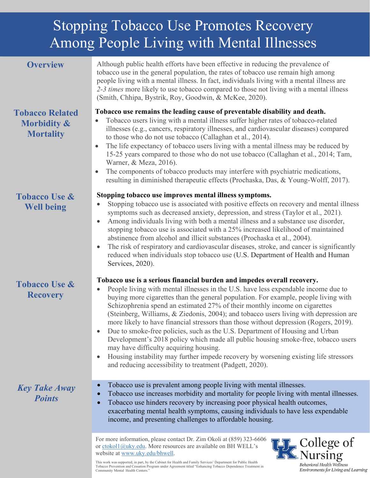# Among People Living with Mental Illnesses Stopping Tobacco Use Promotes Recovery

## **Overview**

Although public health efforts have been effective in reducing the prevalence of tobacco use in the general population, the rates of tobacco use remain high among people living with a mental illness. In fact, individuals living with a mental illness are *2-3 times* more likely to use tobacco compared to those not living with a mental illness (Smith, Chhipa, Bystrik, Roy, Goodwin, & McKee, 2020).

# **Tobacco Related Morbidity & Mortality**

**Tobacco Use & Well being**

**Tobacco Use & Recovery**

#### **Tobacco use remains the leading cause of preventable disability and death.**

- Tobacco users living with a mental illness suffer higher rates of tobacco-related illnesses (e.g., cancers, respiratory illnesses, and cardiovascular diseases) compared to those who do not use tobacco (Callaghan et al., 2014).
- The life expectancy of tobacco users living with a mental illness may be reduced by 15-25 years compared to those who do not use tobacco (Callaghan et al., 2014; Tam, Warner, & Meza, 2016).
- The components of tobacco products may interfere with psychiatric medications, resulting in diminished therapeutic effects (Prochaska, Das, & Young-Wolff, 2017).

#### **Stopping tobacco use improves mental illness symptoms.**

- Stopping tobacco use is associated with positive effects on recovery and mental illness symptoms such as decreased anxiety, depression, and stress (Taylor et al., 2021).
- Among individuals living with both a mental illness and a substance use disorder, stopping tobacco use is associated with a 25% increased likelihood of maintained abstinence from alcohol and illicit substances (Prochaska et al., 2004).
- The risk of respiratory and cardiovascular diseases, stroke, and cancer is significantly reduced when individuals stop tobacco use (U.S. Department of Health and Human Services, 2020).

#### **Tobacco use is a serious financial burden and impedes overall recovery.**

- People living with mental illnesses in the U.S. have less expendable income due to buying more cigarettes than the general population. For example, people living with Schizophrenia spend an estimated 27% of their monthly income on cigarettes (Steinberg, Williams, & Ziedonis, 2004); and tobacco users living with depression are more likely to have financial stressors than those without depression (Rogers, 2019).
- Due to smoke-free policies, such as the U.S. Department of Housing and Urban Development's 2018 policy which made all public housing smoke-free, tobacco users may have difficulty acquiring housing.
- Housing instability may further impede recovery by worsening existing life stressors and reducing accessibility to treatment (Padgett, 2020).

# *Key Take Away Points*

- Tobacco use is prevalent among people living with mental illnesses.
- Tobacco use increases morbidity and mortality for people living with mental illnesses.

• Tobacco use hinders recovery by increasing poor physical health outcomes, exacerbating mental health symptoms, causing individuals to have less expendable income, and presenting challenges to affordable housing.

For more information, please contact Dr. Zim Okoli at (859) 323-6606 or [ctokol1@uky.edu.](mailto:ctokol1@uky.edu) More resources are available on BH WELL's website at [www.uky.edu/bhwell.](http://www.uky.edu/bhwell)



This work was supported, in part, by the Cabinet for Health and Family Services' Department for Public Health Tobacco Prevention and Cessation Program under Agreement titled "Enhancing Tobacco Dependence Treatment in Community Mental Health Centers."